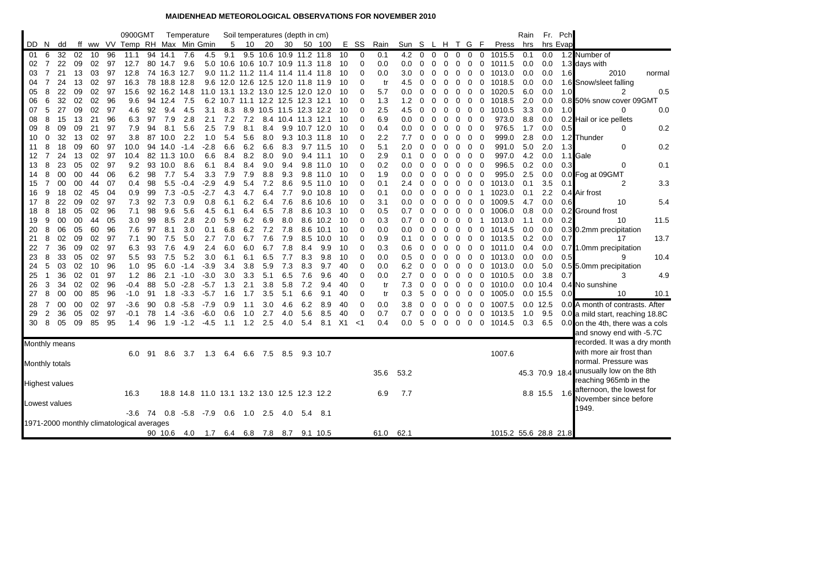## **MAIDENHEAD METEOROLOGICAL OBSERVATIONS FOR NOVEMBER 2010**

|                       |                |    |    |       |    | 0900GMT                                   |    |              | Temperature                                  |        |     | Soil temperatures (depth in cm)    |           |     |                      |            |                |             |      |       |          |          |                |   |                                        |                          | Rain    | Fr.            | Pch      |                                  |        |
|-----------------------|----------------|----|----|-------|----|-------------------------------------------|----|--------------|----------------------------------------------|--------|-----|------------------------------------|-----------|-----|----------------------|------------|----------------|-------------|------|-------|----------|----------|----------------|---|----------------------------------------|--------------------------|---------|----------------|----------|----------------------------------|--------|
| DD                    | -N             | dd |    | ff ww |    | VV Temp RH Max Min Gmin                   |    |              |                                              |        | 5   | 10                                 | 20        | 30  |                      | 50 100     |                | E SS        | Rain | Sun S |          | L H T G  |                |   | - F                                    | Press                    | hrs     |                | hrs Evap |                                  |        |
| 01                    | 6              | 32 | 02 | 10    | 96 | 11.1                                      | 94 | 14.1         | 7.6                                          | 4.5    | 9.1 | 9.5                                | 10.6      |     | 10.9 11.2 11.8       |            | 10             | 0           | 0.1  | 4.2   | $\Omega$ | $\Omega$ | $\mathbf 0$    | 0 | 0                                      | $\mathbf 0$<br>1015.5    | 0.1     | 0.0            |          | 1.2 Number of                    |        |
| 02                    | 7              | 22 | 09 | 02    | 97 | 12.7                                      |    | 80 14.7      | 9.6                                          |        |     | 5.0 10.6 10.6 10.7 10.9 11.3 11.8  |           |     |                      |            | -10            | $\Omega$    | 0.0  | 0.0   | 0        | 0        | 0              | 0 | 0                                      | 0<br>1011.5              | 0.0     | 0.0            |          | 1.3 days with                    |        |
| 03                    |                | 21 | 13 | 03    | 97 | 12.8                                      |    | 74 16.3 12.7 |                                              |        |     | 9.0 11.2 11.2 11.4 11.4 11.4 11.8  |           |     |                      |            | 10             | $\Omega$    | 0.0  | 3.0   | 0        | 0        | 0              | 0 | 0                                      | 1013.0<br>0              | 0.0     | 0.0            | 1.6      | 2010                             | normal |
| 04                    | 7              | 24 | 13 | 02    | 97 | 16.3                                      | 78 | 18.8 12.8    |                                              |        |     | 9.6 12.0 12.6 12.5 12.0 11.8       |           |     |                      | 11.9       | 10             | $\Omega$    | tr   | 4.5   | 0        | 0        | 0              | 0 | 0                                      | $\mathbf 0$<br>1018.5    | 0.0     | 0.0            |          | 1.6 Snow/sleet falling           |        |
| 05                    | 8              | 22 | 09 | 02    | 97 | 15.6                                      |    |              | 92 16.2 14.8                                 |        |     | 11.0 13.1 13.2 13.0 12.5 12.0 12.0 |           |     |                      |            | -10            | $\Omega$    | 5.7  | 0.0   | 0        |          | 0              | 0 | 0                                      | 1020.5<br>0              | 6.0     | 0.0            | 1.0      | 2                                | 0.5    |
| 06                    | 6              | 32 | 02 | 02    | 96 | 9.6                                       |    | 94 12.4      | -7.5                                         |        |     | 6.2 10.7 11.1 12.2 12.5 12.3 12.1  |           |     |                      |            | 10             | $\Omega$    | 1.3  | 1.2   | 0        |          | 0              | 0 | 0                                      | 1018.5<br>0              | 2.0     | 0.0            |          | 0.8 50% snow cover 09GMT         |        |
| 07                    | 5              | 27 | 09 | 02    | 97 | 4.6                                       | 92 | 9.4          | 4.5                                          | 3.1    | 8.3 | 8.9                                | 10.5      |     | 11.5 12.3 12.2       |            | 10             | $\Omega$    | 2.5  | 4.5   | $\Omega$ |          | 0              | 0 | 0                                      | 0<br>1010.5              | 3.3     | 0.0            | 1.0      | $\Omega$                         | 0.0    |
| 08                    | 8              | 15 | 13 | 21    | 96 | 6.3                                       | 97 | 7.9          | 2.8                                          | 2.1    | 7.2 | 7.2                                | 8.4       |     | 10.4 11.3 12.1       |            | 10             | $\Omega$    | 6.9  | 0.0   | 0        | $\Omega$ | $\mathbf 0$    | 0 | 0<br>$\overline{0}$                    | 973.0                    | 8.8     | 0.0            |          | 0.2 Hail or ice pellets          |        |
| 09                    | 8              | 09 | 09 | 21    | 97 | 7.9                                       | 94 | 8.1          | 5.6                                          | 2.5    | 7.9 | 8.1                                | 8.4       |     | 9.9 10.7 12.0        |            | 10             | $\Omega$    | 0.4  | 0.0   | 0        | 0        | 0              | 0 | 0                                      | $\mathbf 0$<br>976.5     | 1.7     | 0.0            | 0.5      | 0                                | 0.2    |
| 10                    | $\Omega$       | 32 | 13 | 02    | 97 | 3.8                                       | 87 | 10.0         | 2.2                                          | 1.0    | 5.4 | 5.6                                | 8.0       |     | 9.3 10.3 11.8        |            | 10             | 0           | 2.2  | 7.7   | 0        |          | 0              | 0 | 0<br>- 0                               | 999.0                    | 2.8     | 0.0            |          | 1.2 Thunder                      |        |
| 11                    | 8              | 18 | 09 | 60    | 97 | 10.0                                      |    | 94 14.0      | $-1.4$                                       | $-2.8$ | 6.6 | 6.2                                | 6.6       | 8.3 |                      | 9.7 11.5   | 10             | 0           | 5.1  | 2.0   | 0        | $\Omega$ | 0              | 0 | 0<br>- 0                               | 991.0                    | 5.0     | 2.0            | 1.3      | $\Omega$                         | 0.2    |
| 12                    | 7              | 24 | 13 | 02    | 97 | 10.4                                      |    | 82 11.3 10.0 |                                              | 6.6    | 8.4 | 8.2                                | 8.0       | 9.0 |                      | 9.4 11.1   | 10             | $\Omega$    | 2.9  | 0.1   | 0        | 0        | 0              | 0 | 0<br>- 0                               | 997.0                    | 4.2     | 0.0            |          | 1.1 Gale                         |        |
| 13                    | 8              | 23 | 05 | 02    | 97 | 9.2                                       |    | 93 10.0      | 8.6                                          | 6.1    | 8.4 | 8.4                                | 9.0       | 9.4 |                      | 9.8 11.0   | 10             | $\Omega$    | 0.2  | 0.0   | 0        | 0        | 0              | 0 | $\mathbf 0$<br>$\overline{\mathbf{0}}$ | 996.5                    | 0.2     | 0.0            | 0.3      | $\mathbf 0$                      | 0.1    |
| 14                    | 8              | 00 | 00 | 44    | 06 | 6.2                                       | 98 | 7.7          | 5.4                                          | 3.3    | 7.9 | 7.9                                | 8.8       | 9.3 |                      | 9.8 11.0   | 10             | $\Omega$    | 1.9  | 0.0   | $\Omega$ | $\Omega$ | 0              | 0 | 0<br>$\mathbf 0$                       | 995.0                    | 2.5     | 0.0            |          | 0.0 Fog at 09GMT                 |        |
| 15                    | 7              | 00 | 00 | 44    | 07 | 0.4                                       | 98 | 5.5          | $-0.4$                                       | $-2.9$ | 4.9 | 5.4                                | 7.2       | 8.6 |                      | $9.5$ 11.0 | 10             | $\Omega$    | 0.1  | 2.4   | 0        |          | 0              | 0 | $\mathbf 0$                            | 1013.0<br>$\mathbf 0$    | 0.1     | 3.5            | 0.1      | $\overline{2}$                   | 3.3    |
| 16                    | 9              | 18 | 02 | 45    | 04 | 0.9                                       | 99 | 7.3          | $-0.5$                                       | $-2.7$ | 4.3 | 4.7                                | 6.4       | 7.7 |                      | 9.0 10.8   | 10             | $\Omega$    | 0.1  | 0.0   | 0        | 0        | 0              | 0 | 0                                      | 1023.0<br>-1             | 0.1     | 2.2            |          | 0.4 Air frost                    |        |
| 17                    | 8              | 22 | 09 | 02    | 97 | 7.3                                       | 92 | 7.3          | 0.9                                          | 0.8    | 6.1 | 6.2                                | 6.4       | 7.6 |                      | 8.6 10.6   | 10             | 0           | 3.1  | 0.0   | $\Omega$ | O        | 0              | 0 | 0                                      | 1009.5<br>0              | 4.7     | 0.0            | 0.6      | 10                               | 5.4    |
| 18                    | 8              | 18 | 05 | 02    | 96 | 7.1                                       | 98 | 9.6          | 5.6                                          | 4.5    | 6.1 | 6.4                                | 6.5       | 7.8 |                      | 8.6 10.3   | 10             | $\Omega$    | 0.5  | 0.7   | $\Omega$ | 0        | 0              | 0 | 0                                      | 0<br>1006.0              | 0.8     | 0.0            |          | 0.2 Ground frost                 |        |
| 19                    | 9              | 00 | 00 | 44    | 05 | 3.0                                       | 99 | 8.5          | 2.8                                          | 2.0    | 5.9 | 6.2                                | 6.9       | 8.0 |                      | 8.6 10.2   | 10             | $\Omega$    | 0.3  | 0.7   | 0        |          | 0              | 0 | 0                                      | 1013.0<br>-1             | 1.1     | 0.0            | 0.2      | 10                               | 11.5   |
| 20                    | 8              | 06 | 05 | 60    | 96 | 7.6                                       | 97 | 8.1          | 3.0                                          | 0.1    | 6.8 | 6.2                                | 7.2       | 7.8 |                      | 8.6 10.1   | 10             | 0           | 0.0  | 0.0   | 0        |          | 0              | 0 | 0                                      | 0<br>1014.5              | 0.0     | 0.0            |          | 0.3 0.2mm precipitation          |        |
| 21                    | 8              | 02 | 09 | 02    | 97 | 7.1                                       | 90 | 7.5          | 5.0                                          | 2.7    | 7.0 | 6.7                                | 7.6       | 7.9 |                      | 8.5 10.0   | 10             | $\Omega$    | 0.9  | 0.1   | 0        | 0        | $\overline{0}$ | 0 | 0                                      | $\overline{0}$<br>1013.5 | 0.2     | 0.0            | 0.7      | 17                               | 13.7   |
| 22                    | 7              | 36 | 09 | 02    | 97 | 6.3                                       | 93 | 7.6          | 4.9                                          | 2.4    | 6.0 | 6.0                                | 6.7       | 7.8 | 8.4                  | 9.9        | 10             | $\Omega$    | 0.3  | 0.6   | $\Omega$ | 0        | $\Omega$       | 0 | 0                                      | $\mathbf 0$<br>1011.0    | 0.4     | 0.0            |          | 0.7 1.0mm precipitation          |        |
| 23                    | 8              | 33 | 05 | 02    | 97 | 5.5                                       | 93 | 7.5          | 5.2                                          | 3.0    | 6.1 | 6.1                                | 6.5       | 7.7 | 8.3                  | 9.8        | 10             | $\Omega$    | 0.0  | 0.5   | 0        |          | 0              | 0 | $\mathbf 0$                            | 0<br>1013.0              | 0.0     | 0.0            | 0.5      | 9                                | 10.4   |
| 24                    | 5              | 03 | 02 | 10    | 96 | 1.0                                       | 95 | 6.0          | $-1.4$                                       | $-3.9$ | 3.4 | 3.8                                | 5.9       | 7.3 | 8.3                  | 9.7        | 40             | 0           | 0.0  | 6.2   | 0        | 0        | 0              | 0 | 0                                      | $\mathbf 0$<br>1013.0    | 0.0     | 5.0            |          | 0.5 5.0mm precipitation          |        |
| 25                    |                | 36 | 02 | 01    | 97 | 1.2                                       | 86 | 2.1          | $-1.0$                                       | $-3.0$ | 3.0 | 3.3                                | 5.1       | 6.5 | 7.6                  | 9.6        | 40             | $\Omega$    | 0.0  | 2.7   | 0        |          | 0              | 0 | 0                                      | $\mathbf 0$<br>1010.5    | $0.0\,$ | 3.8            | 0.7      | 3                                | 4.9    |
| 26                    | 3              | 34 | 02 | 02    | 96 | -0.4                                      | 88 | 5.0          | $-2.8$                                       | $-5.7$ | 1.3 | 2.1                                | 3.8       | 5.8 | 7.2                  | 9.4        | 40             | $\Omega$    | tr   | 7.3   | 0        | 0        | 0              | 0 | $\mathbf 0$                            | 1010.0<br>$\mathbf 0$    |         | $0.0$ 10.4     |          | 0.4 No sunshine                  |        |
| 27                    | 8              | 00 | 00 | 85    | 96 | -1.0                                      | 91 | 1.8          | $-3.3$                                       | $-5.7$ | 1.6 | 1.7                                | 3.5       | 5.1 | 6.6                  | 9.1        | 40             | $\mathbf 0$ | tr   | 0.3   | 5        | 0        | 0              | 0 | 0                                      | 0<br>1005.0              |         | $0.0$ 15.5     | 0.0      | 10                               | 10.1   |
| 28                    | $\overline{7}$ | 00 | 00 | 02    | 97 | -3.6                                      | 90 | 0.8          | $-5.8$                                       | $-7.9$ | 0.9 | 1.1                                | 3.0       | 4.6 | 6.2                  | 8.9        | 40             | $\Omega$    | 0.0  | 3.8   | 0        | $\Omega$ | 0              | 0 | 0                                      | $\mathbf 0$<br>1007.5    |         | $0.0$ 12.5     |          | 0.0 A month of contrasts. After  |        |
| 29                    | 2              | 36 | 05 | 02    | 97 | -0.1                                      | 78 | 1.4          | $-3.6$                                       | $-6.0$ | 0.6 | 1.0                                | 2.7       | 4.0 | 5.6                  | 8.5        | 40             | $\Omega$    | 0.7  | 0.7   | 0        | $\Omega$ | 0              | 0 | 0                                      | $\mathbf 0$<br>1013.5    | 1.0     | 9.5            |          | 0.0 a mild start, reaching 18.8C |        |
| 30                    | 8              | 05 | 09 | 85    | 95 | 1.4                                       | 96 | 1.9          | $-1.2$                                       | $-4.5$ | 1.1 | 1.2                                | 2.5       | 4.0 | 5.4                  | 8.1        | X <sub>1</sub> | $<$ 1       | 0.4  | 0.0   | 5        | $\Omega$ | $\mathbf 0$    | 0 | 0                                      | $\mathbf 0$<br>1014.5    | 0.3     | 6.5            |          | 0.0 on the 4th, there was a cols |        |
|                       |                |    |    |       |    |                                           |    |              |                                              |        |     |                                    |           |     |                      |            |                |             |      |       |          |          |                |   |                                        |                          |         |                |          | and snowy end with -5.7C         |        |
| Monthly means         |                |    |    |       |    |                                           |    |              |                                              |        |     |                                    |           |     |                      |            |                |             |      |       |          |          |                |   |                                        |                          |         |                |          | recorded. It was a dry month     |        |
|                       |                |    |    |       |    | 6.0                                       | 91 | 8.6          | 3.7                                          | 1.3    | 6.4 | 6.6                                | 7.5       | 8.5 |                      | 9.3 10.7   |                |             |      |       |          |          |                |   |                                        | 1007.6                   |         |                |          | with more air frost than         |        |
| Monthly totals        |                |    |    |       |    |                                           |    |              |                                              |        |     |                                    |           |     |                      |            |                |             |      |       |          |          |                |   |                                        |                          |         |                |          | normal. Pressure was             |        |
|                       |                |    |    |       |    |                                           |    |              |                                              |        |     |                                    |           |     |                      |            |                |             | 35.6 | 53.2  |          |          |                |   |                                        |                          |         | 45.3 70.9 18.4 |          | unusually low on the 8th         |        |
|                       |                |    |    |       |    |                                           |    |              |                                              |        |     |                                    |           |     |                      |            |                |             |      |       |          |          |                |   |                                        |                          |         |                |          | reaching 965mb in the            |        |
| <b>Highest values</b> |                |    |    |       |    |                                           |    |              |                                              |        |     |                                    |           |     |                      |            |                |             |      |       |          |          |                |   |                                        |                          |         |                |          | afternoon, the lowest for        |        |
|                       |                |    |    |       |    | 16.3                                      |    |              | 18.8 14.8 11.0 13.1 13.2 13.0 12.5 12.3 12.2 |        |     |                                    |           |     |                      |            |                |             | 6.9  | 7.7   |          |          |                |   |                                        |                          |         | 8.8 15.5 1.6   |          | November since before            |        |
| Lowest values         |                |    |    |       |    |                                           |    |              |                                              |        |     |                                    |           |     |                      |            |                |             |      |       |          |          |                |   |                                        |                          |         |                |          | 1949.                            |        |
|                       |                |    |    |       |    | $-3.6$                                    | 74 |              | $0.8 -5.8 -7.9$ 0.6                          |        |     |                                    | $1.0$ 2.5 | 4.0 | 5.4                  | -8.1       |                |             |      |       |          |          |                |   |                                        |                          |         |                |          |                                  |        |
|                       |                |    |    |       |    | 1971-2000 monthly climatological averages |    |              |                                              |        |     |                                    |           |     |                      |            |                |             |      |       |          |          |                |   |                                        |                          |         |                |          |                                  |        |
|                       |                |    |    |       |    |                                           |    |              | 90 10.6 4.0                                  | 1.7    | 6.4 |                                    |           |     | 6.8 7.8 8.7 9.1 10.5 |            |                |             | 61.0 | 62.1  |          |          |                |   |                                        | 1015.2 55.6 28.8 21.8    |         |                |          |                                  |        |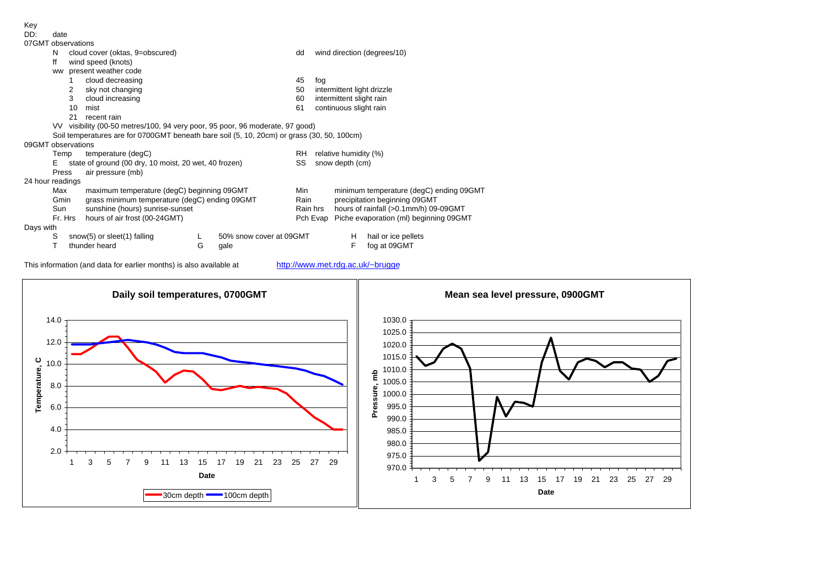| Key                |                                                                                            |    |                                                       |   |                         |                                        |                                                   |  |  |  |  |  |
|--------------------|--------------------------------------------------------------------------------------------|----|-------------------------------------------------------|---|-------------------------|----------------------------------------|---------------------------------------------------|--|--|--|--|--|
| DD:                | date                                                                                       |    |                                                       |   |                         |                                        |                                                   |  |  |  |  |  |
| 07GMT observations |                                                                                            |    |                                                       |   |                         |                                        |                                                   |  |  |  |  |  |
|                    | N                                                                                          |    | cloud cover (oktas, 9=obscured)                       |   |                         | dd                                     | wind direction (degrees/10)                       |  |  |  |  |  |
|                    | ff                                                                                         |    | wind speed (knots)                                    |   |                         |                                        |                                                   |  |  |  |  |  |
|                    | <b>WW</b>                                                                                  |    | present weather code                                  |   |                         |                                        |                                                   |  |  |  |  |  |
|                    |                                                                                            |    | cloud decreasing                                      |   |                         | 45                                     | fog                                               |  |  |  |  |  |
|                    |                                                                                            | 2  | sky not changing                                      |   |                         | 50                                     | intermittent light drizzle                        |  |  |  |  |  |
|                    |                                                                                            | 3  | cloud increasing                                      |   |                         | 60                                     | intermittent slight rain                          |  |  |  |  |  |
|                    |                                                                                            | 10 | mist                                                  |   |                         | 61                                     | continuous slight rain                            |  |  |  |  |  |
|                    |                                                                                            | 21 | recent rain                                           |   |                         |                                        |                                                   |  |  |  |  |  |
|                    | visibility (00-50 metres/100, 94 very poor, 95 poor, 96 moderate, 97 good)<br>VV.          |    |                                                       |   |                         |                                        |                                                   |  |  |  |  |  |
|                    | Soil temperatures are for 0700GMT beneath bare soil (5, 10, 20cm) or grass (30, 50, 100cm) |    |                                                       |   |                         |                                        |                                                   |  |  |  |  |  |
| 09GMT observations |                                                                                            |    |                                                       |   |                         |                                        |                                                   |  |  |  |  |  |
|                    | Temp                                                                                       |    | temperature (degC)                                    |   |                         | RH                                     | relative humidity (%)                             |  |  |  |  |  |
|                    | Е                                                                                          |    | state of ground (00 dry, 10 moist, 20 wet, 40 frozen) |   |                         | SS                                     | snow depth (cm)                                   |  |  |  |  |  |
|                    | Press                                                                                      |    | air pressure (mb)                                     |   |                         |                                        |                                                   |  |  |  |  |  |
| 24 hour readings   |                                                                                            |    |                                                       |   |                         |                                        |                                                   |  |  |  |  |  |
|                    | Max                                                                                        |    | maximum temperature (degC) beginning 09GMT            |   |                         | Min                                    | minimum temperature (degC) ending 09GMT           |  |  |  |  |  |
|                    | Gmin                                                                                       |    | grass minimum temperature (degC) ending 09GMT         |   |                         | Rain                                   | precipitation beginning 09GMT                     |  |  |  |  |  |
|                    | Sun                                                                                        |    | sunshine (hours) sunrise-sunset                       |   |                         |                                        | hours of rainfall (>0.1mm/h) 09-09GMT<br>Rain hrs |  |  |  |  |  |
|                    | Fr. Hrs<br>hours of air frost (00-24GMT)                                                   |    |                                                       |   | Pch Evap                | Piche evaporation (ml) beginning 09GMT |                                                   |  |  |  |  |  |
| Days with          |                                                                                            |    |                                                       |   |                         |                                        |                                                   |  |  |  |  |  |
|                    | S                                                                                          |    | snow(5) or sleet(1) falling                           |   | 50% snow cover at 09GMT |                                        | hail or ice pellets<br>н                          |  |  |  |  |  |
|                    | т                                                                                          |    | thunder heard                                         | G | qale                    |                                        | F<br>fog at 09GMT                                 |  |  |  |  |  |

This information (and data for earlier months) is also available at http://www.met.rdg.ac.uk/~brugge